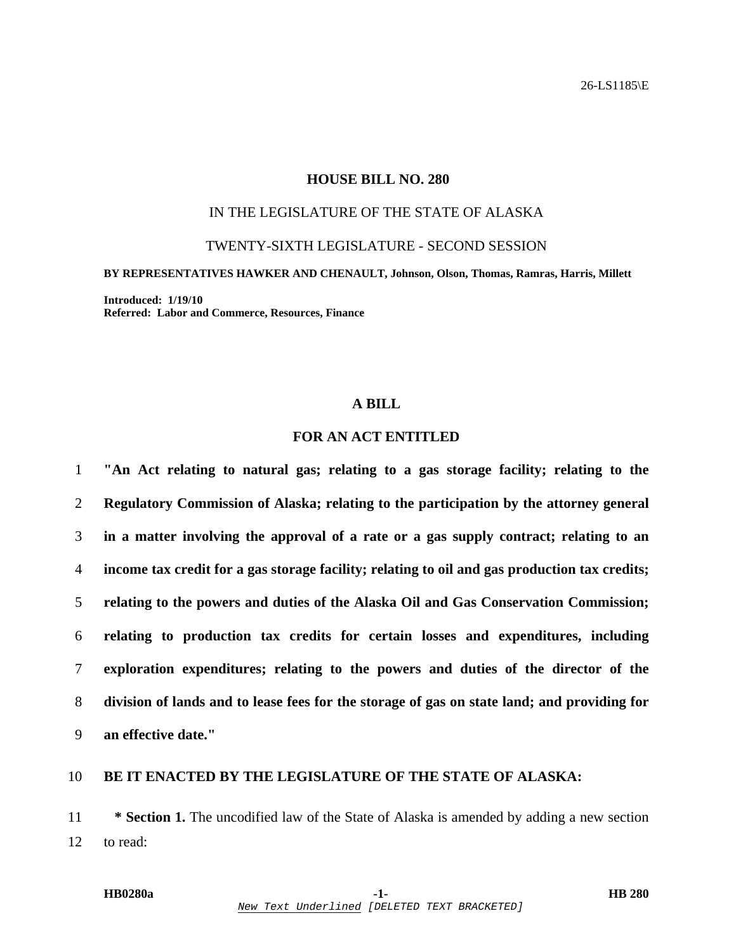### **HOUSE BILL NO. 280**

# IN THE LEGISLATURE OF THE STATE OF ALASKA

TWENTY-SIXTH LEGISLATURE - SECOND SESSION

**BY REPRESENTATIVES HAWKER AND CHENAULT, Johnson, Olson, Thomas, Ramras, Harris, Millett** 

**Introduced: 1/19/10 Referred: Labor and Commerce, Resources, Finance** 

### **A BILL**

# **FOR AN ACT ENTITLED**

**"An Act relating to natural gas; relating to a gas storage facility; relating to the Regulatory Commission of Alaska; relating to the participation by the attorney general in a matter involving the approval of a rate or a gas supply contract; relating to an income tax credit for a gas storage facility; relating to oil and gas production tax credits; relating to the powers and duties of the Alaska Oil and Gas Conservation Commission; relating to production tax credits for certain losses and expenditures, including exploration expenditures; relating to the powers and duties of the director of the division of lands and to lease fees for the storage of gas on state land; and providing for an effective date."** 

#### 10 **BE IT ENACTED BY THE LEGISLATURE OF THE STATE OF ALASKA:**

11 **\* Section 1.** The uncodified law of the State of Alaska is amended by adding a new section 12 to read: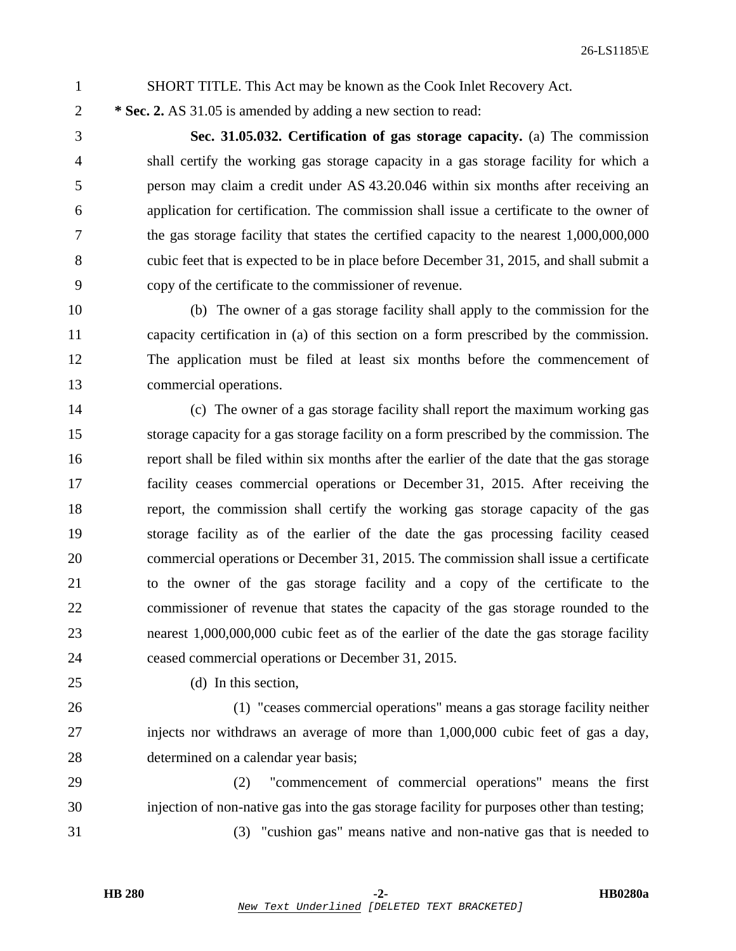1 SHORT TITLE. This Act may be known as the Cook Inlet Recovery Act.

2 **\* Sec. 2.** AS 31.05 is amended by adding a new section to read:

3 **Sec. 31.05.032. Certification of gas storage capacity.** (a) The commission 4 shall certify the working gas storage capacity in a gas storage facility for which a 5 person may claim a credit under AS 43.20.046 within six months after receiving an 6 application for certification. The commission shall issue a certificate to the owner of 7 the gas storage facility that states the certified capacity to the nearest 1,000,000,000 8 cubic feet that is expected to be in place before December 31, 2015, and shall submit a 9 copy of the certificate to the commissioner of revenue.

10 (b) The owner of a gas storage facility shall apply to the commission for the 11 capacity certification in (a) of this section on a form prescribed by the commission. 12 The application must be filed at least six months before the commencement of 13 commercial operations.

14 (c) The owner of a gas storage facility shall report the maximum working gas 15 storage capacity for a gas storage facility on a form prescribed by the commission. The 16 report shall be filed within six months after the earlier of the date that the gas storage 17 facility ceases commercial operations or December 31, 2015. After receiving the 18 report, the commission shall certify the working gas storage capacity of the gas 19 storage facility as of the earlier of the date the gas processing facility ceased 20 commercial operations or December 31, 2015. The commission shall issue a certificate 21 to the owner of the gas storage facility and a copy of the certificate to the 22 commissioner of revenue that states the capacity of the gas storage rounded to the 23 nearest 1,000,000,000 cubic feet as of the earlier of the date the gas storage facility 24 ceased commercial operations or December 31, 2015.

25 (d) In this section,

26 (1) "ceases commercial operations" means a gas storage facility neither 27 injects nor withdraws an average of more than 1,000,000 cubic feet of gas a day, 28 determined on a calendar year basis;

29 (2) "commencement of commercial operations" means the first 30 injection of non-native gas into the gas storage facility for purposes other than testing;

31 (3) "cushion gas" means native and non-native gas that is needed to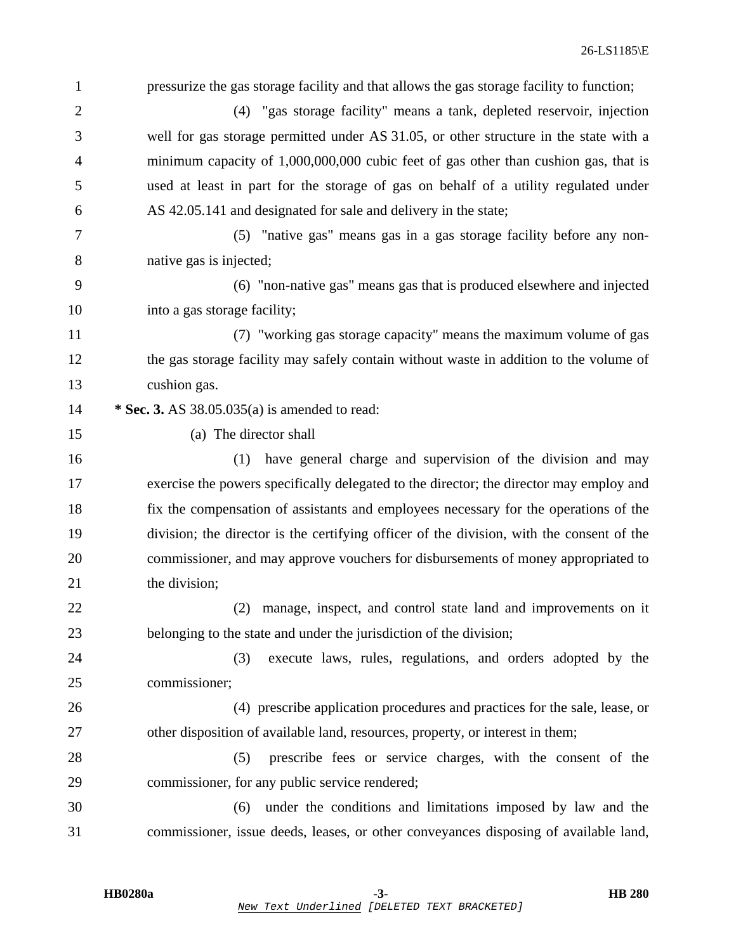| 1              | pressurize the gas storage facility and that allows the gas storage facility to function; |
|----------------|-------------------------------------------------------------------------------------------|
| $\overline{2}$ | (4) "gas storage facility" means a tank, depleted reservoir, injection                    |
| 3              | well for gas storage permitted under AS 31.05, or other structure in the state with a     |
| 4              | minimum capacity of 1,000,000,000 cubic feet of gas other than cushion gas, that is       |
| 5              | used at least in part for the storage of gas on behalf of a utility regulated under       |
| 6              | AS 42.05.141 and designated for sale and delivery in the state;                           |
| 7              | (5) "native gas" means gas in a gas storage facility before any non-                      |
| 8              | native gas is injected;                                                                   |
| 9              | (6) "non-native gas" means gas that is produced elsewhere and injected                    |
| 10             | into a gas storage facility;                                                              |
| 11             | (7) "working gas storage capacity" means the maximum volume of gas                        |
| 12             | the gas storage facility may safely contain without waste in addition to the volume of    |
| 13             | cushion gas.                                                                              |
| 14             | * Sec. 3. AS 38.05.035(a) is amended to read:                                             |
| 15             | (a) The director shall                                                                    |
| 16             | have general charge and supervision of the division and may<br>(1)                        |
| 17             | exercise the powers specifically delegated to the director; the director may employ and   |
| 18             | fix the compensation of assistants and employees necessary for the operations of the      |
| 19             | division; the director is the certifying officer of the division, with the consent of the |
| 20             | commissioner, and may approve vouchers for disbursements of money appropriated to         |
| 21             | the division;                                                                             |
| 22             | manage, inspect, and control state land and improvements on it<br>(2)                     |
| 23             | belonging to the state and under the jurisdiction of the division;                        |
| 24             | execute laws, rules, regulations, and orders adopted by the<br>(3)                        |
| 25             | commissioner;                                                                             |
| 26             | (4) prescribe application procedures and practices for the sale, lease, or                |
| 27             | other disposition of available land, resources, property, or interest in them;            |
| 28             | prescribe fees or service charges, with the consent of the<br>(5)                         |
| 29             | commissioner, for any public service rendered;                                            |
| 30             | under the conditions and limitations imposed by law and the<br>(6)                        |
| 31             | commissioner, issue deeds, leases, or other conveyances disposing of available land,      |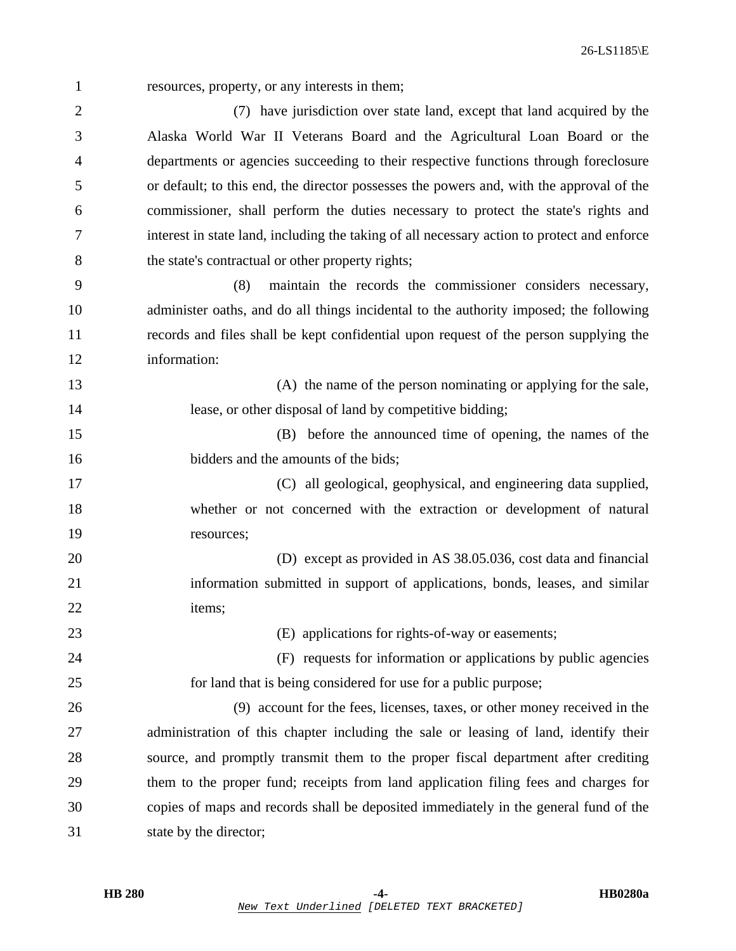1 resources, property, or any interests in them;

2 (7) have jurisdiction over state land, except that land acquired by the 3 Alaska World War II Veterans Board and the Agricultural Loan Board or the 4 departments or agencies succeeding to their respective functions through foreclosure 5 or default; to this end, the director possesses the powers and, with the approval of the 6 commissioner, shall perform the duties necessary to protect the state's rights and 7 interest in state land, including the taking of all necessary action to protect and enforce 8 the state's contractual or other property rights;

9 (8) maintain the records the commissioner considers necessary, 10 administer oaths, and do all things incidental to the authority imposed; the following 11 records and files shall be kept confidential upon request of the person supplying the 12 information:

13 (A) the name of the person nominating or applying for the sale, 14 lease, or other disposal of land by competitive bidding;

15 (B) before the announced time of opening, the names of the 16 bidders and the amounts of the bids;

17 (C) all geological, geophysical, and engineering data supplied, 18 whether or not concerned with the extraction or development of natural 19 resources;

20 (D) except as provided in AS 38.05.036, cost data and financial 21 information submitted in support of applications, bonds, leases, and similar 22 items;

23 (E) applications for rights-of-way or easements;

24 (F) requests for information or applications by public agencies 25 for land that is being considered for use for a public purpose;

26 (9) account for the fees, licenses, taxes, or other money received in the 27 administration of this chapter including the sale or leasing of land, identify their 28 source, and promptly transmit them to the proper fiscal department after crediting 29 them to the proper fund; receipts from land application filing fees and charges for 30 copies of maps and records shall be deposited immediately in the general fund of the 31 state by the director;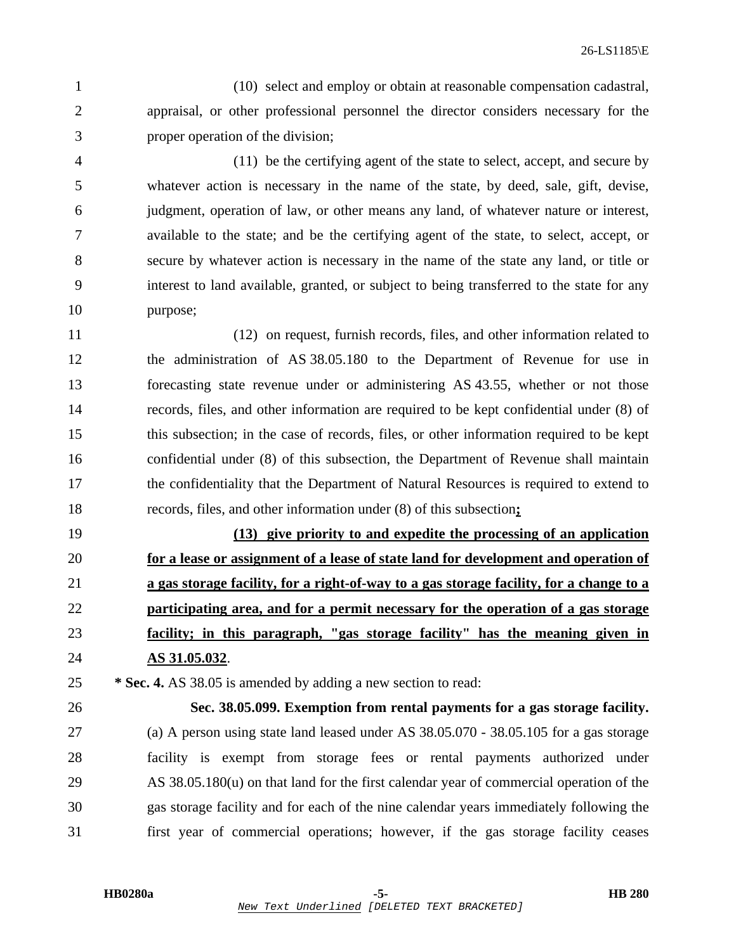1 (10) select and employ or obtain at reasonable compensation cadastral, 2 appraisal, or other professional personnel the director considers necessary for the 3 proper operation of the division;

4 (11) be the certifying agent of the state to select, accept, and secure by 5 whatever action is necessary in the name of the state, by deed, sale, gift, devise, 6 judgment, operation of law, or other means any land, of whatever nature or interest, 7 available to the state; and be the certifying agent of the state, to select, accept, or 8 secure by whatever action is necessary in the name of the state any land, or title or 9 interest to land available, granted, or subject to being transferred to the state for any 10 purpose;

11 (12) on request, furnish records, files, and other information related to 12 the administration of AS 38.05.180 to the Department of Revenue for use in 13 forecasting state revenue under or administering AS 43.55, whether or not those 14 records, files, and other information are required to be kept confidential under (8) of 15 this subsection; in the case of records, files, or other information required to be kept 16 confidential under (8) of this subsection, the Department of Revenue shall maintain 17 the confidentiality that the Department of Natural Resources is required to extend to 18 records, files, and other information under (8) of this subsection**;**

**(13) give priority to and expedite the processing of an application for a lease or assignment of a lease of state land for development and operation of a gas storage facility, for a right-of-way to a gas storage facility, for a change to a participating area, and for a permit necessary for the operation of a gas storage facility; in this paragraph, "gas storage facility" has the meaning given in AS 31.05.032**.

25 **\* Sec. 4.** AS 38.05 is amended by adding a new section to read:

26 **Sec. 38.05.099. Exemption from rental payments for a gas storage facility.**  27 (a) A person using state land leased under AS 38.05.070 - 38.05.105 for a gas storage 28 facility is exempt from storage fees or rental payments authorized under 29 AS 38.05.180(u) on that land for the first calendar year of commercial operation of the 30 gas storage facility and for each of the nine calendar years immediately following the 31 first year of commercial operations; however, if the gas storage facility ceases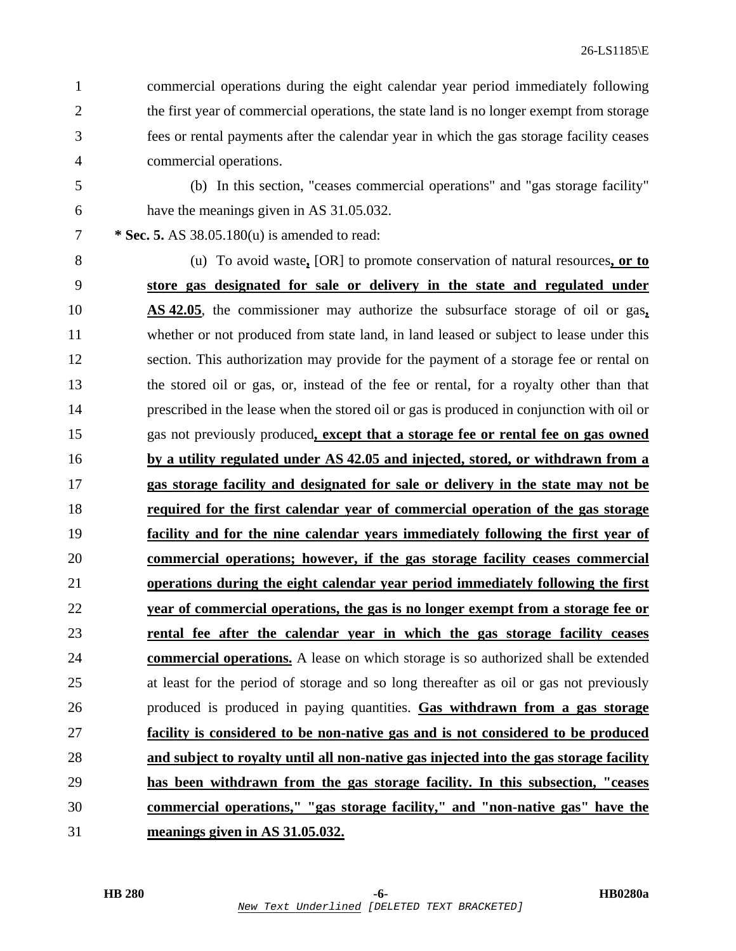1 commercial operations during the eight calendar year period immediately following 2 the first year of commercial operations, the state land is no longer exempt from storage 3 fees or rental payments after the calendar year in which the gas storage facility ceases 4 commercial operations.

5 (b) In this section, "ceases commercial operations" and "gas storage facility" 6 have the meanings given in AS 31.05.032.

7 **\* Sec. 5.** AS 38.05.180(u) is amended to read:

8 (u) To avoid waste**,** [OR] to promote conservation of natural resources**, or to store gas designated for sale or delivery in the state and regulated under AS 42.05**, the commissioner may authorize the subsurface storage of oil or gas**,** 11 whether or not produced from state land, in land leased or subject to lease under this 12 section. This authorization may provide for the payment of a storage fee or rental on 13 the stored oil or gas, or, instead of the fee or rental, for a royalty other than that 14 prescribed in the lease when the stored oil or gas is produced in conjunction with oil or 15 gas not previously produced**, except that a storage fee or rental fee on gas owned by a utility regulated under AS 42.05 and injected, stored, or withdrawn from a gas storage facility and designated for sale or delivery in the state may not be required for the first calendar year of commercial operation of the gas storage facility and for the nine calendar years immediately following the first year of commercial operations; however, if the gas storage facility ceases commercial operations during the eight calendar year period immediately following the first year of commercial operations, the gas is no longer exempt from a storage fee or rental fee after the calendar year in which the gas storage facility ceases commercial operations.** A lease on which storage is so authorized shall be extended 25 at least for the period of storage and so long thereafter as oil or gas not previously 26 produced is produced in paying quantities. **Gas withdrawn from a gas storage facility is considered to be non-native gas and is not considered to be produced and subject to royalty until all non-native gas injected into the gas storage facility has been withdrawn from the gas storage facility. In this subsection, "ceases commercial operations," "gas storage facility," and "non-native gas" have the meanings given in AS 31.05.032.**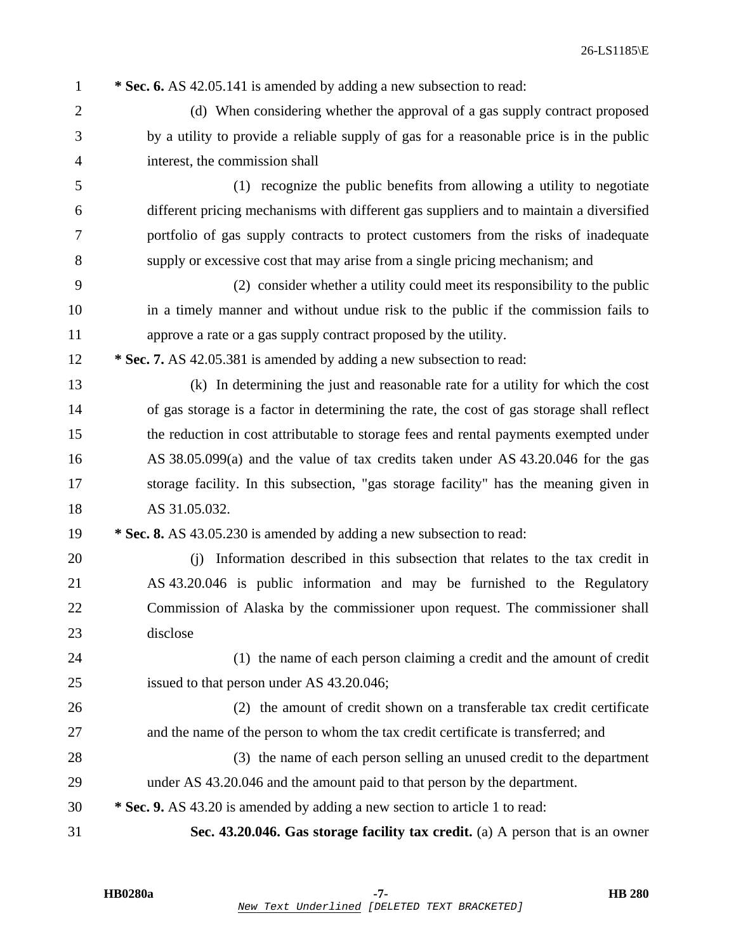| $\mathbf{1}$   | * Sec. 6. AS 42.05.141 is amended by adding a new subsection to read:                     |
|----------------|-------------------------------------------------------------------------------------------|
| $\mathfrak{2}$ | (d) When considering whether the approval of a gas supply contract proposed               |
| 3              | by a utility to provide a reliable supply of gas for a reasonable price is in the public  |
| 4              | interest, the commission shall                                                            |
| 5              | (1) recognize the public benefits from allowing a utility to negotiate                    |
| 6              | different pricing mechanisms with different gas suppliers and to maintain a diversified   |
| 7              | portfolio of gas supply contracts to protect customers from the risks of inadequate       |
| $8\,$          | supply or excessive cost that may arise from a single pricing mechanism; and              |
| 9              | (2) consider whether a utility could meet its responsibility to the public                |
| 10             | in a timely manner and without undue risk to the public if the commission fails to        |
| 11             | approve a rate or a gas supply contract proposed by the utility.                          |
| 12             | * Sec. 7. AS 42.05.381 is amended by adding a new subsection to read:                     |
| 13             | (k) In determining the just and reasonable rate for a utility for which the cost          |
| 14             | of gas storage is a factor in determining the rate, the cost of gas storage shall reflect |
| 15             | the reduction in cost attributable to storage fees and rental payments exempted under     |
| 16             | AS 38.05.099(a) and the value of tax credits taken under AS 43.20.046 for the gas         |
| 17             | storage facility. In this subsection, "gas storage facility" has the meaning given in     |
| 18             | AS 31.05.032.                                                                             |
| 19             | * Sec. 8. AS 43.05.230 is amended by adding a new subsection to read:                     |
| 20             | Information described in this subsection that relates to the tax credit in<br>(i)         |
| 21             | AS 43.20.046 is public information and may be furnished to the Regulatory                 |
| 22             | Commission of Alaska by the commissioner upon request. The commissioner shall             |
| 23             | disclose                                                                                  |
| 24             | (1) the name of each person claiming a credit and the amount of credit                    |
| 25             | issued to that person under AS 43.20.046;                                                 |
| 26             | (2) the amount of credit shown on a transferable tax credit certificate                   |
| 27             | and the name of the person to whom the tax credit certificate is transferred; and         |
| 28             | (3) the name of each person selling an unused credit to the department                    |
| 29             | under AS 43.20.046 and the amount paid to that person by the department.                  |
| 30             | * Sec. 9. AS 43.20 is amended by adding a new section to article 1 to read:               |
| 31             | Sec. 43.20.046. Gas storage facility tax credit. (a) A person that is an owner            |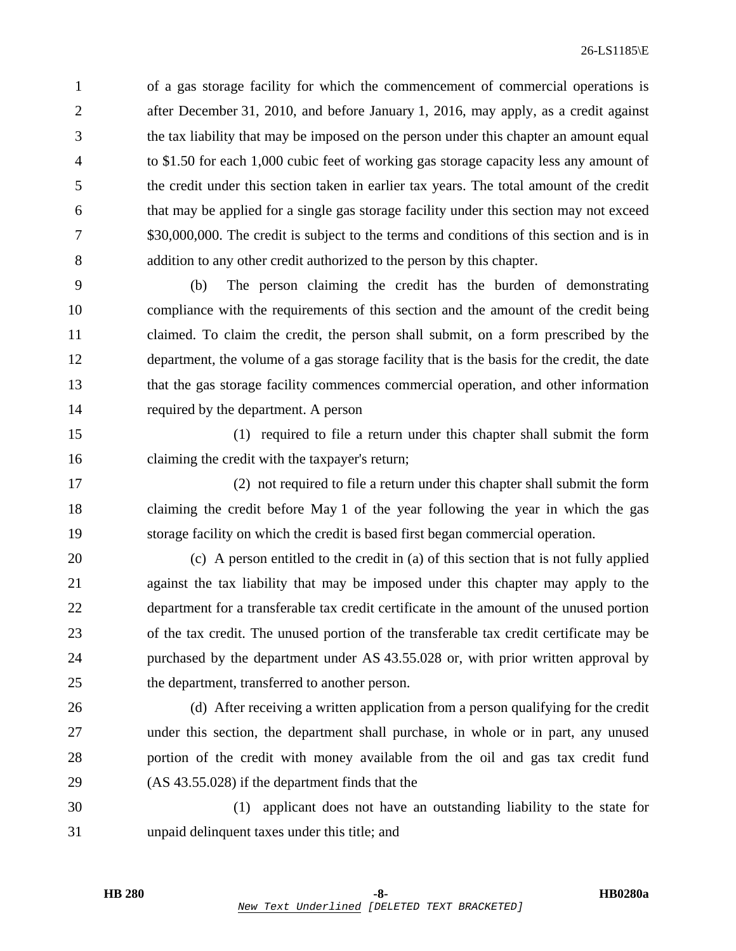1 of a gas storage facility for which the commencement of commercial operations is 2 after December 31, 2010, and before January 1, 2016, may apply, as a credit against 3 the tax liability that may be imposed on the person under this chapter an amount equal 4 to \$1.50 for each 1,000 cubic feet of working gas storage capacity less any amount of 5 the credit under this section taken in earlier tax years. The total amount of the credit 6 that may be applied for a single gas storage facility under this section may not exceed 7 \$30,000,000. The credit is subject to the terms and conditions of this section and is in 8 addition to any other credit authorized to the person by this chapter.

9 (b) The person claiming the credit has the burden of demonstrating 10 compliance with the requirements of this section and the amount of the credit being 11 claimed. To claim the credit, the person shall submit, on a form prescribed by the 12 department, the volume of a gas storage facility that is the basis for the credit, the date 13 that the gas storage facility commences commercial operation, and other information 14 required by the department. A person

15 (1) required to file a return under this chapter shall submit the form 16 claiming the credit with the taxpayer's return;

17 (2) not required to file a return under this chapter shall submit the form 18 claiming the credit before May 1 of the year following the year in which the gas 19 storage facility on which the credit is based first began commercial operation.

20 (c) A person entitled to the credit in (a) of this section that is not fully applied 21 against the tax liability that may be imposed under this chapter may apply to the 22 department for a transferable tax credit certificate in the amount of the unused portion 23 of the tax credit. The unused portion of the transferable tax credit certificate may be 24 purchased by the department under AS 43.55.028 or, with prior written approval by 25 the department, transferred to another person.

26 (d) After receiving a written application from a person qualifying for the credit 27 under this section, the department shall purchase, in whole or in part, any unused 28 portion of the credit with money available from the oil and gas tax credit fund 29 (AS 43.55.028) if the department finds that the

30 (1) applicant does not have an outstanding liability to the state for 31 unpaid delinquent taxes under this title; and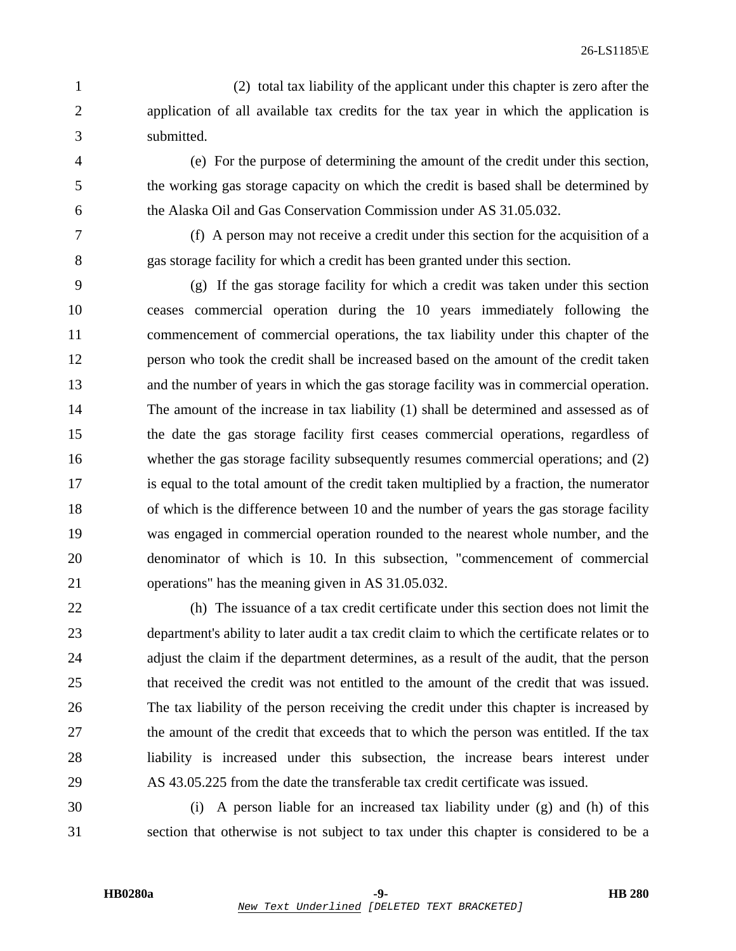- 1 (2) total tax liability of the applicant under this chapter is zero after the 2 application of all available tax credits for the tax year in which the application is 3 submitted.
- 4 (e) For the purpose of determining the amount of the credit under this section, 5 the working gas storage capacity on which the credit is based shall be determined by 6 the Alaska Oil and Gas Conservation Commission under AS 31.05.032.
- 

7 (f) A person may not receive a credit under this section for the acquisition of a 8 gas storage facility for which a credit has been granted under this section.

- 9 (g) If the gas storage facility for which a credit was taken under this section 10 ceases commercial operation during the 10 years immediately following the 11 commencement of commercial operations, the tax liability under this chapter of the 12 person who took the credit shall be increased based on the amount of the credit taken 13 and the number of years in which the gas storage facility was in commercial operation. 14 The amount of the increase in tax liability (1) shall be determined and assessed as of 15 the date the gas storage facility first ceases commercial operations, regardless of 16 whether the gas storage facility subsequently resumes commercial operations; and (2) 17 is equal to the total amount of the credit taken multiplied by a fraction, the numerator 18 of which is the difference between 10 and the number of years the gas storage facility 19 was engaged in commercial operation rounded to the nearest whole number, and the 20 denominator of which is 10. In this subsection, "commencement of commercial 21 operations" has the meaning given in AS 31.05.032.
- 22 (h) The issuance of a tax credit certificate under this section does not limit the 23 department's ability to later audit a tax credit claim to which the certificate relates or to 24 adjust the claim if the department determines, as a result of the audit, that the person 25 that received the credit was not entitled to the amount of the credit that was issued. 26 The tax liability of the person receiving the credit under this chapter is increased by 27 the amount of the credit that exceeds that to which the person was entitled. If the tax 28 liability is increased under this subsection, the increase bears interest under 29 AS 43.05.225 from the date the transferable tax credit certificate was issued.

30 (i) A person liable for an increased tax liability under (g) and (h) of this 31 section that otherwise is not subject to tax under this chapter is considered to be a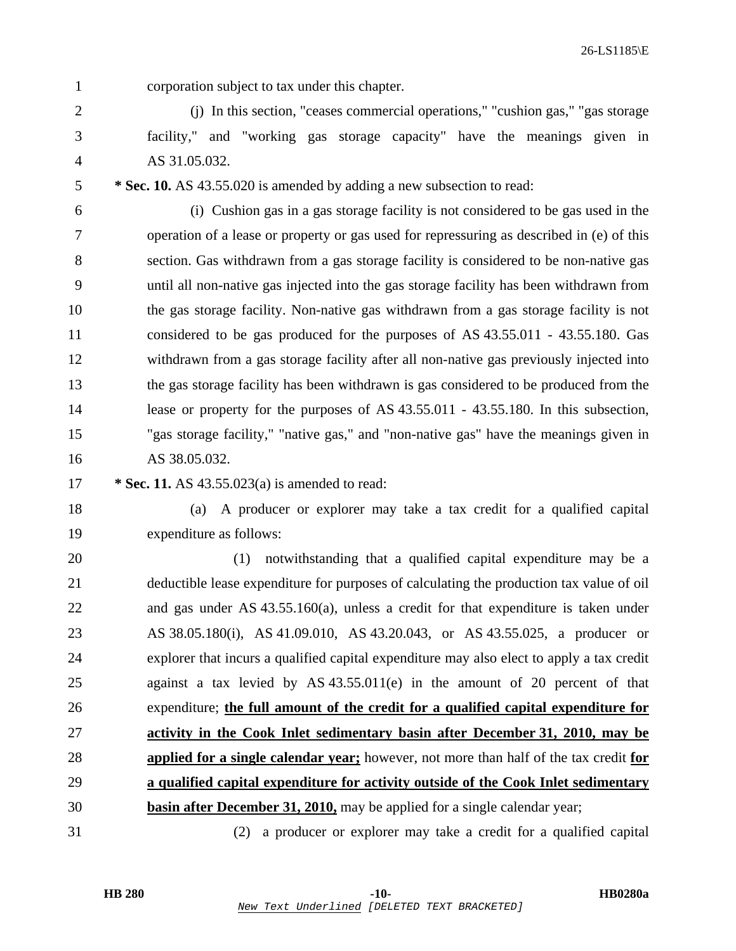1 corporation subject to tax under this chapter.

2 (j) In this section, "ceases commercial operations," "cushion gas," "gas storage 3 facility," and "working gas storage capacity" have the meanings given in 4 AS 31.05.032.

5 **\* Sec. 10.** AS 43.55.020 is amended by adding a new subsection to read:

6 (i) Cushion gas in a gas storage facility is not considered to be gas used in the 7 operation of a lease or property or gas used for repressuring as described in (e) of this 8 section. Gas withdrawn from a gas storage facility is considered to be non-native gas 9 until all non-native gas injected into the gas storage facility has been withdrawn from 10 the gas storage facility. Non-native gas withdrawn from a gas storage facility is not 11 considered to be gas produced for the purposes of AS 43.55.011 - 43.55.180. Gas 12 withdrawn from a gas storage facility after all non-native gas previously injected into 13 the gas storage facility has been withdrawn is gas considered to be produced from the 14 lease or property for the purposes of AS 43.55.011 - 43.55.180. In this subsection, 15 "gas storage facility," "native gas," and "non-native gas" have the meanings given in 16 AS 38.05.032.

- 17 **\* Sec. 11.** AS 43.55.023(a) is amended to read:
- 

18 (a) A producer or explorer may take a tax credit for a qualified capital

19 expenditure as follows:

20 (1) notwithstanding that a qualified capital expenditure may be a 21 deductible lease expenditure for purposes of calculating the production tax value of oil 22 and gas under AS 43.55.160(a), unless a credit for that expenditure is taken under 23 AS 38.05.180(i), AS 41.09.010, AS 43.20.043, or AS 43.55.025, a producer or 24 explorer that incurs a qualified capital expenditure may also elect to apply a tax credit 25 against a tax levied by AS 43.55.011(e) in the amount of 20 percent of that 26 expenditure; **the full amount of the credit for a qualified capital expenditure for** 27 **activity in the Cook Inlet sedimentary basin after December 31, 2010, may be** 28 **applied for a single calendar year;** however, not more than half of the tax credit **for** 29 **a qualified capital expenditure for activity outside of the Cook Inlet sedimentary** 30 **basin after December 31, 2010,** may be applied for a single calendar year;

31 (2) a producer or explorer may take a credit for a qualified capital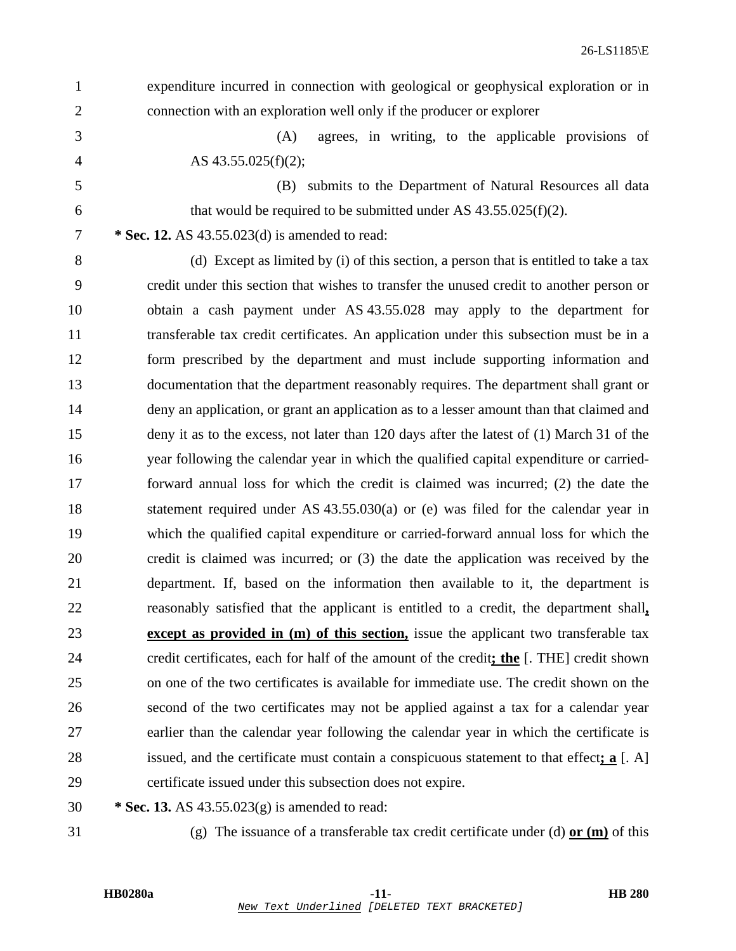- 1 expenditure incurred in connection with geological or geophysical exploration or in 2 connection with an exploration well only if the producer or explorer 3 (A) agrees, in writing, to the applicable provisions of 4 AS 43.55.025(f)(2); 5 (B) submits to the Department of Natural Resources all data 6 that would be required to be submitted under AS  $43.55.025(f)(2)$ . 7 **\* Sec. 12.** AS 43.55.023(d) is amended to read: 8 (d) Except as limited by (i) of this section, a person that is entitled to take a tax 9 credit under this section that wishes to transfer the unused credit to another person or 10 obtain a cash payment under AS 43.55.028 may apply to the department for 11 transferable tax credit certificates. An application under this subsection must be in a 12 form prescribed by the department and must include supporting information and 13 documentation that the department reasonably requires. The department shall grant or 14 deny an application, or grant an application as to a lesser amount than that claimed and 15 deny it as to the excess, not later than 120 days after the latest of (1) March 31 of the 16 year following the calendar year in which the qualified capital expenditure or carried-17 forward annual loss for which the credit is claimed was incurred; (2) the date the 18 statement required under AS 43.55.030(a) or (e) was filed for the calendar year in 19 which the qualified capital expenditure or carried-forward annual loss for which the 20 credit is claimed was incurred; or (3) the date the application was received by the 21 department. If, based on the information then available to it, the department is 22 reasonably satisfied that the applicant is entitled to a credit, the department shall**,** 23 **except as provided in (m) of this section,** issue the applicant two transferable tax 24 credit certificates, each for half of the amount of the credit**; the** [. THE] credit shown 25 on one of the two certificates is available for immediate use. The credit shown on the 26 second of the two certificates may not be applied against a tax for a calendar year 27 earlier than the calendar year following the calendar year in which the certificate is 28 issued, and the certificate must contain a conspicuous statement to that effect**; a** [. A] 29 certificate issued under this subsection does not expire.
	- 30 **\* Sec. 13.** AS 43.55.023(g) is amended to read:
	-

31 (g) The issuance of a transferable tax credit certificate under (d) **or (m)** of this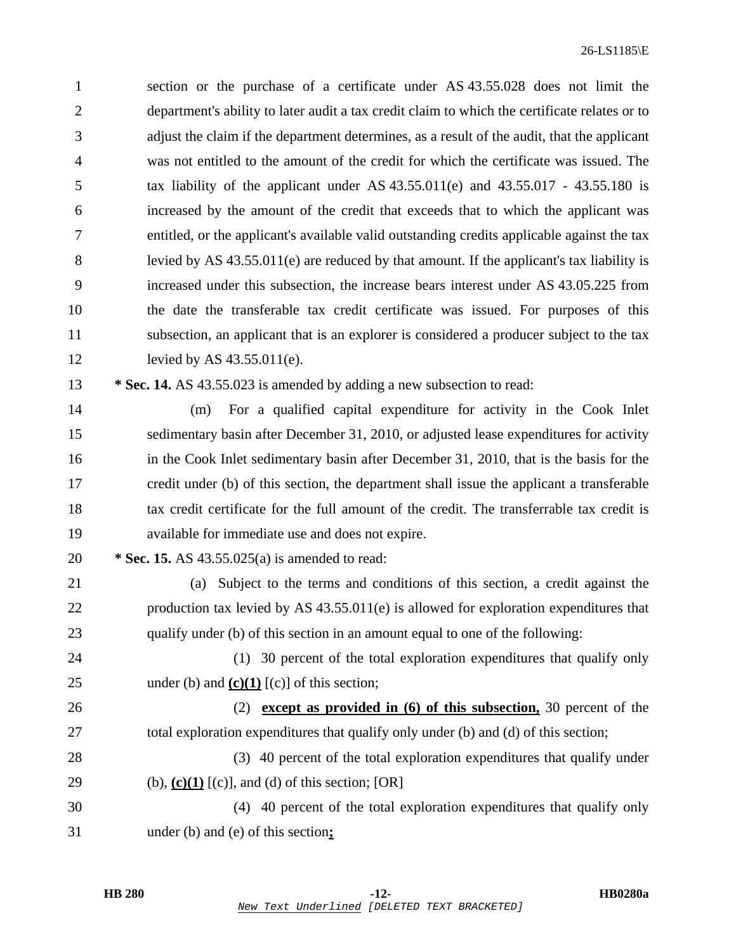1 section or the purchase of a certificate under AS 43.55.028 does not limit the 2 department's ability to later audit a tax credit claim to which the certificate relates or to 3 adjust the claim if the department determines, as a result of the audit, that the applicant 4 was not entitled to the amount of the credit for which the certificate was issued. The 5 tax liability of the applicant under AS 43.55.011(e) and 43.55.017 - 43.55.180 is 6 increased by the amount of the credit that exceeds that to which the applicant was 7 entitled, or the applicant's available valid outstanding credits applicable against the tax 8 levied by AS 43.55.011(e) are reduced by that amount. If the applicant's tax liability is 9 increased under this subsection, the increase bears interest under AS 43.05.225 from 10 the date the transferable tax credit certificate was issued. For purposes of this 11 subsection, an applicant that is an explorer is considered a producer subject to the tax 12 levied by AS 43.55.011(e).

13 **\* Sec. 14.** AS 43.55.023 is amended by adding a new subsection to read:

14 (m) For a qualified capital expenditure for activity in the Cook Inlet 15 sedimentary basin after December 31, 2010, or adjusted lease expenditures for activity 16 in the Cook Inlet sedimentary basin after December 31, 2010, that is the basis for the 17 credit under (b) of this section, the department shall issue the applicant a transferable 18 tax credit certificate for the full amount of the credit. The transferrable tax credit is 19 available for immediate use and does not expire.

20 **\* Sec. 15.** AS 43.55.025(a) is amended to read:

21 (a) Subject to the terms and conditions of this section, a credit against the 22 production tax levied by AS 43.55.011(e) is allowed for exploration expenditures that 23 qualify under (b) of this section in an amount equal to one of the following:

24 (1) 30 percent of the total exploration expenditures that qualify only 25 under (b) and  $(c)(1)$   $(c)$  of this section;

26 (2) **except as provided in (6) of this subsection,** 30 percent of the 27 total exploration expenditures that qualify only under (b) and (d) of this section; 28 (3) 40 percent of the total exploration expenditures that qualify under

29 (b), **(c)(1)** [(c)], and (d) of this section; [OR]

30 (4) 40 percent of the total exploration expenditures that qualify only 31 under (b) and (e) of this section**;**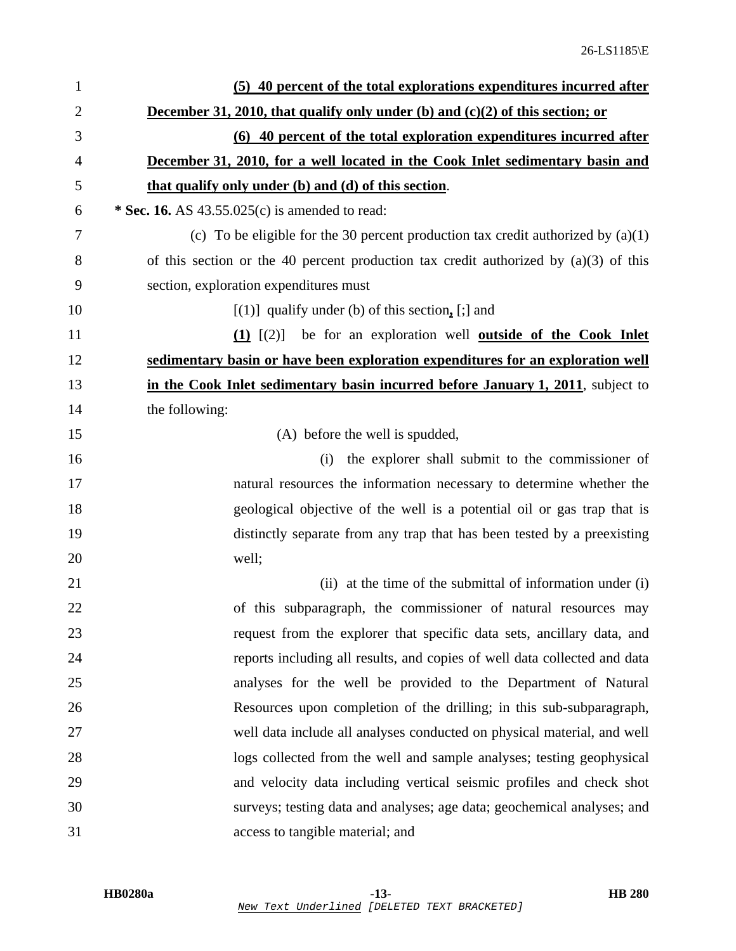| $\mathbf{1}$   | (5) 40 percent of the total explorations expenditures incurred after                   |
|----------------|----------------------------------------------------------------------------------------|
| $\overline{2}$ | December 31, 2010, that qualify only under (b) and $(c)(2)$ of this section; or        |
| 3              | (6) 40 percent of the total exploration expenditures incurred after                    |
| 4              | December 31, 2010, for a well located in the Cook Inlet sedimentary basin and          |
| 5              | that qualify only under (b) and (d) of this section.                                   |
| 6              | * Sec. 16. AS $43.55.025(c)$ is amended to read:                                       |
| 7              | (c) To be eligible for the 30 percent production tax credit authorized by $(a)(1)$     |
| 8              | of this section or the 40 percent production tax credit authorized by $(a)(3)$ of this |
| 9              | section, exploration expenditures must                                                 |
| 10             | $[(1)]$ qualify under (b) of this section, $[:]$ and                                   |
| 11             | $(1)$ $[(2)]$<br>be for an exploration well <b><u>outside of the Cook Inlet</u></b>    |
| 12             | sedimentary basin or have been exploration expenditures for an exploration well        |
| 13             | in the Cook Inlet sedimentary basin incurred before January 1, 2011, subject to        |
| 14             | the following:                                                                         |
| 15             | (A) before the well is spudded,                                                        |
| 16             | the explorer shall submit to the commissioner of<br>(i)                                |
| 17             | natural resources the information necessary to determine whether the                   |
| 18             | geological objective of the well is a potential oil or gas trap that is                |
| 19             | distinctly separate from any trap that has been tested by a preexisting                |
| 20             | well;                                                                                  |
| 21             | (ii) at the time of the submittal of information under (i)                             |
| 22             | of this subparagraph, the commissioner of natural resources may                        |
| 23             | request from the explorer that specific data sets, ancillary data, and                 |
| 24             | reports including all results, and copies of well data collected and data              |
| 25             | analyses for the well be provided to the Department of Natural                         |
| 26             | Resources upon completion of the drilling; in this sub-subparagraph,                   |
| 27             | well data include all analyses conducted on physical material, and well                |
| 28             | logs collected from the well and sample analyses; testing geophysical                  |
| 29             | and velocity data including vertical seismic profiles and check shot                   |
| 30             | surveys; testing data and analyses; age data; geochemical analyses; and                |
| 31             | access to tangible material; and                                                       |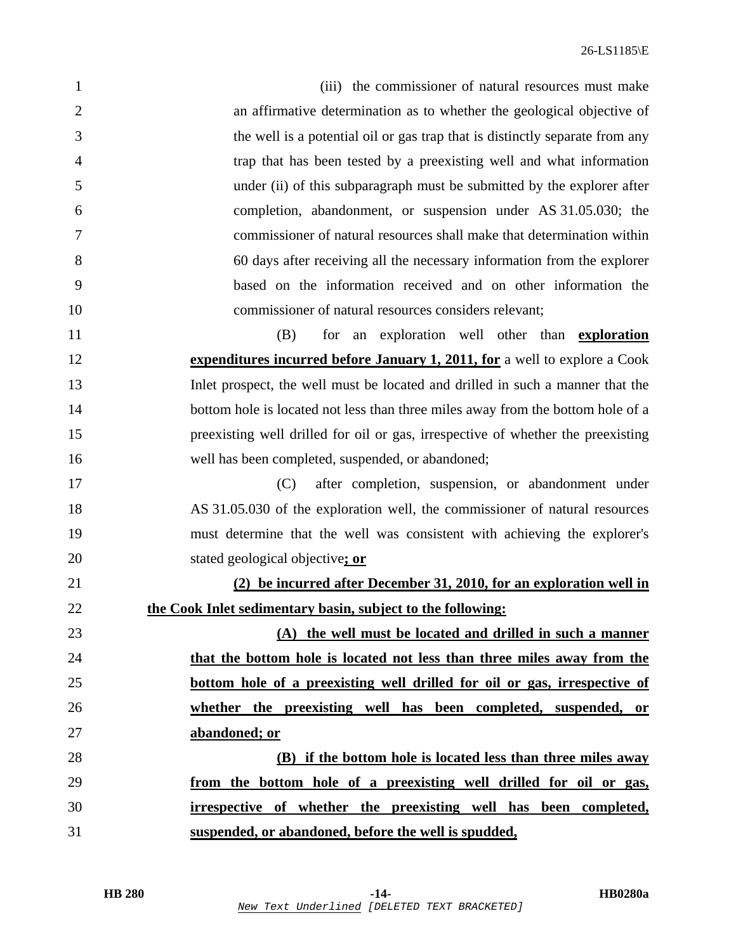$26$ -LS1185 $\backslash$ E

1 (iii) the commissioner of natural resources must make 2 an affirmative determination as to whether the geological objective of 3 the well is a potential oil or gas trap that is distinctly separate from any 4 trap that has been tested by a preexisting well and what information 5 under (ii) of this subparagraph must be submitted by the explorer after 6 completion, abandonment, or suspension under AS 31.05.030; the 7 commissioner of natural resources shall make that determination within 8 60 days after receiving all the necessary information from the explorer 9 based on the information received and on other information the 10 commissioner of natural resources considers relevant; 11 (B) for an exploration well other than **exploration** 12 **expenditures incurred before January 1, 2011, for** a well to explore a Cook 13 Inlet prospect, the well must be located and drilled in such a manner that the 14 bottom hole is located not less than three miles away from the bottom hole of a 15 preexisting well drilled for oil or gas, irrespective of whether the preexisting 16 well has been completed, suspended, or abandoned; 17 (C) after completion, suspension, or abandonment under 18 AS 31.05.030 of the exploration well, the commissioner of natural resources 19 must determine that the well was consistent with achieving the explorer's 20 stated geological objective**; or** 21 **(2) be incurred after December 31, 2010, for an exploration well in** 22 **the Cook Inlet sedimentary basin, subject to the following:** 23 **(A) the well must be located and drilled in such a manner** 24 **that the bottom hole is located not less than three miles away from the** 25 **bottom hole of a preexisting well drilled for oil or gas, irrespective of** 26 **whether the preexisting well has been completed, suspended, or** 27 **abandoned; or** 28 **(B) if the bottom hole is located less than three miles away** 29 **from the bottom hole of a preexisting well drilled for oil or gas,** 30 **irrespective of whether the preexisting well has been completed,** 31 **suspended, or abandoned, before the well is spudded,**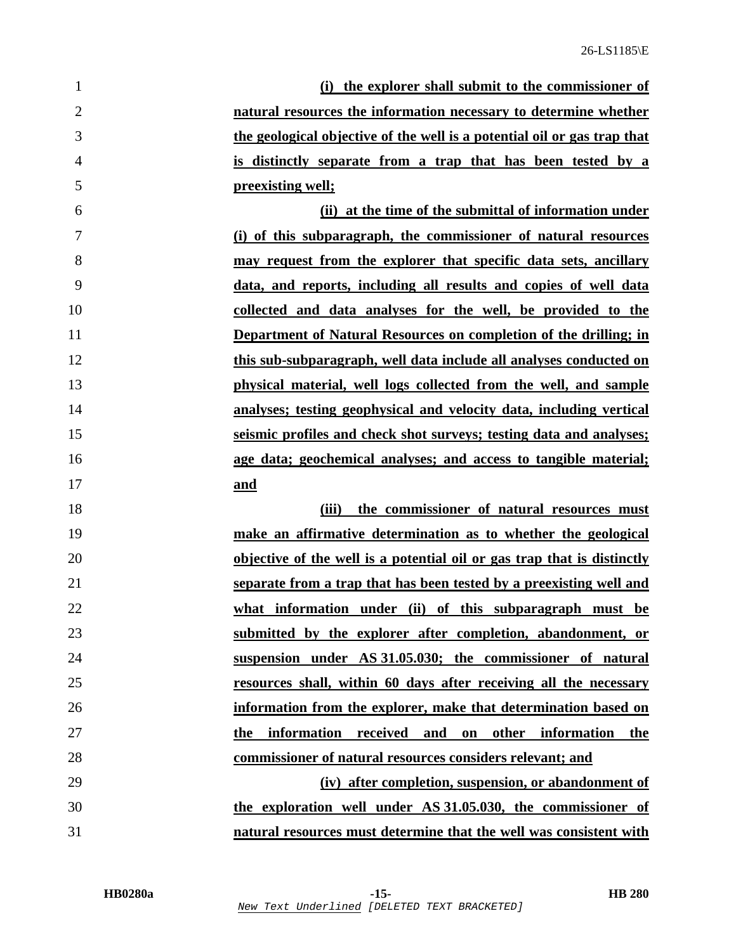| 1              | (i) the explorer shall submit to the commissioner of                     |
|----------------|--------------------------------------------------------------------------|
| $\overline{2}$ | natural resources the information necessary to determine whether         |
| 3              | the geological objective of the well is a potential oil or gas trap that |
| $\overline{4}$ | is distinctly separate from a trap that has been tested by a             |
| 5              | preexisting well;                                                        |
| 6              | (ii) at the time of the submittal of information under                   |
| 7              | (i) of this subparagraph, the commissioner of natural resources          |
| 8              | may request from the explorer that specific data sets, ancillary         |
| 9              | data, and reports, including all results and copies of well data         |
| 10             | collected and data analyses for the well, be provided to the             |
| 11             | Department of Natural Resources on completion of the drilling; in        |
| 12             | this sub-subparagraph, well data include all analyses conducted on       |
| 13             | physical material, well logs collected from the well, and sample         |
| 14             | analyses; testing geophysical and velocity data, including vertical      |
| 15             | seismic profiles and check shot surveys; testing data and analyses;      |
| 16             | age data; geochemical analyses; and access to tangible material;         |
| 17             | and                                                                      |
| 18             | the commissioner of natural resources must<br>(iii)                      |
| 19             | make an affirmative determination as to whether the geological           |
| 20             | objective of the well is a potential oil or gas trap that is distinctly  |
| 21             | separate from a trap that has been tested by a preexisting well and      |
| 22             | what information under (ii) of this subparagraph must be                 |
| 23             | submitted by the explorer after completion, abandonment, or              |
| 24             | suspension under AS 31.05.030; the commissioner of natural               |
| 25             | resources shall, within 60 days after receiving all the necessary        |
| 26             | information from the explorer, make that determination based on          |
| 27             | received and on other information the<br>the information                 |
| 28             | commissioner of natural resources considers relevant; and                |
| 29             | (iv) after completion, suspension, or abandonment of                     |
| 30             | the exploration well under AS 31.05.030, the commissioner of             |
| 31             | natural resources must determine that the well was consistent with       |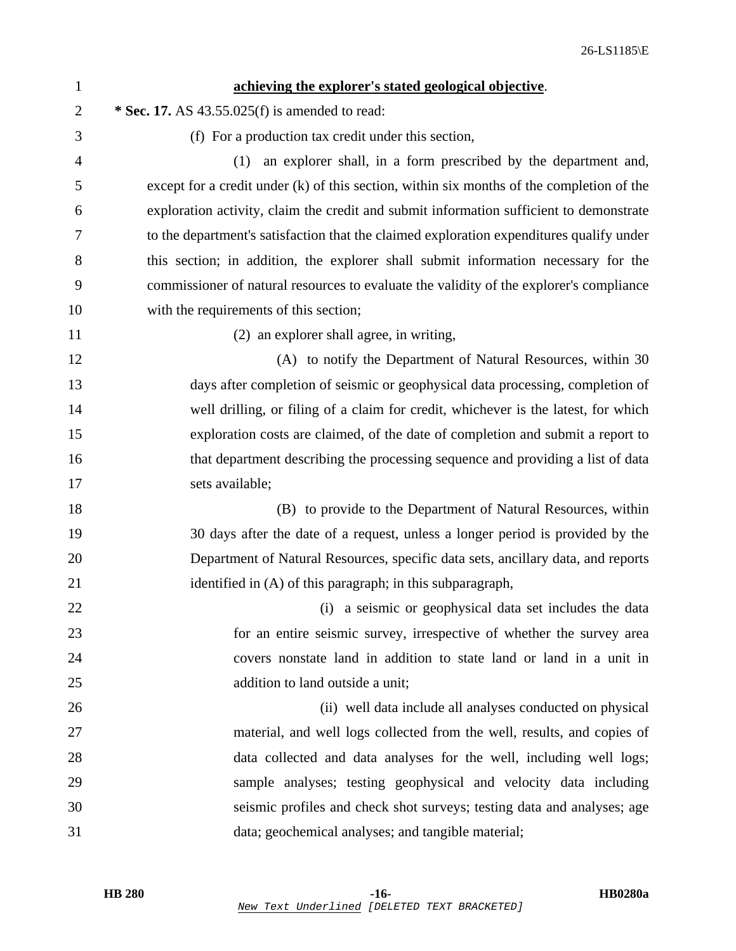| $\mathbf{1}$   | achieving the explorer's stated geological objective.                                     |
|----------------|-------------------------------------------------------------------------------------------|
| $\overline{2}$ | * Sec. 17. AS 43.55.025(f) is amended to read:                                            |
| 3              | (f) For a production tax credit under this section,                                       |
| $\overline{4}$ | an explorer shall, in a form prescribed by the department and,<br>(1)                     |
| 5              | except for a credit under (k) of this section, within six months of the completion of the |
| 6              | exploration activity, claim the credit and submit information sufficient to demonstrate   |
| 7              | to the department's satisfaction that the claimed exploration expenditures qualify under  |
| 8              | this section; in addition, the explorer shall submit information necessary for the        |
| 9              | commissioner of natural resources to evaluate the validity of the explorer's compliance   |
| 10             | with the requirements of this section;                                                    |
| 11             | (2) an explorer shall agree, in writing,                                                  |
| 12             | (A) to notify the Department of Natural Resources, within 30                              |
| 13             | days after completion of seismic or geophysical data processing, completion of            |
| 14             | well drilling, or filing of a claim for credit, whichever is the latest, for which        |
| 15             | exploration costs are claimed, of the date of completion and submit a report to           |
| 16             | that department describing the processing sequence and providing a list of data           |
| 17             | sets available;                                                                           |
| 18             | (B) to provide to the Department of Natural Resources, within                             |
| 19             | 30 days after the date of a request, unless a longer period is provided by the            |
| 20             | Department of Natural Resources, specific data sets, ancillary data, and reports          |
| 21             | identified in (A) of this paragraph; in this subparagraph,                                |
| 22             | (i) a seismic or geophysical data set includes the data                                   |
| 23             | for an entire seismic survey, irrespective of whether the survey area                     |
| 24             | covers nonstate land in addition to state land or land in a unit in                       |
| 25             | addition to land outside a unit;                                                          |
| 26             | (ii) well data include all analyses conducted on physical                                 |
| 27             | material, and well logs collected from the well, results, and copies of                   |
| 28             | data collected and data analyses for the well, including well logs;                       |
| 29             | sample analyses; testing geophysical and velocity data including                          |
| 30             | seismic profiles and check shot surveys; testing data and analyses; age                   |
| 31             | data; geochemical analyses; and tangible material;                                        |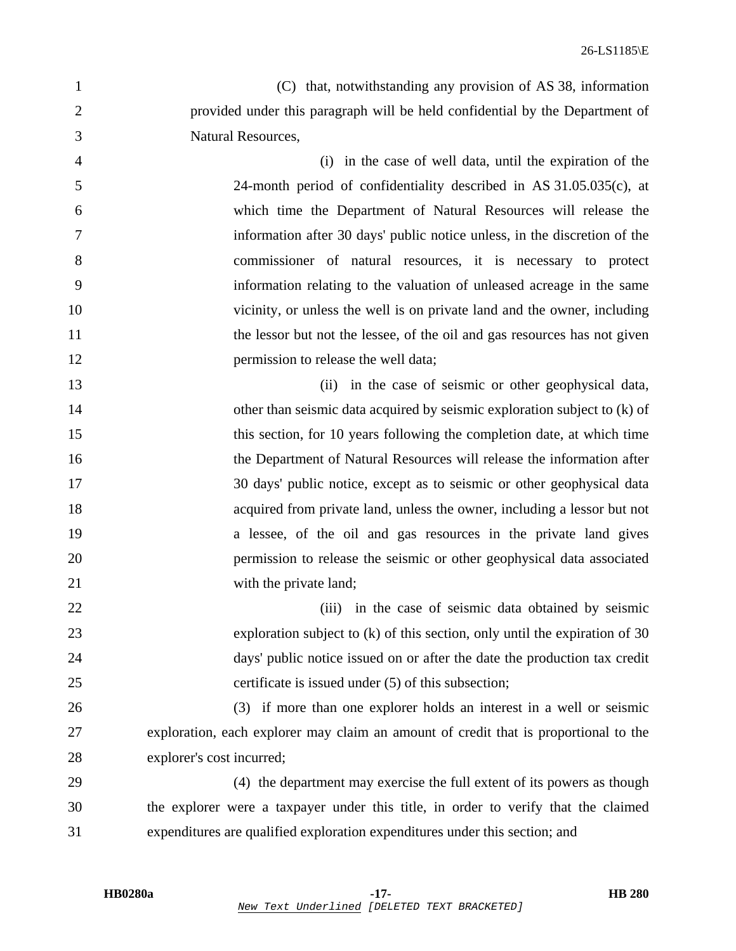1 (C) that, notwithstanding any provision of AS 38, information 2 provided under this paragraph will be held confidential by the Department of 3 Natural Resources,

4 (i) in the case of well data, until the expiration of the 5 24-month period of confidentiality described in AS 31.05.035(c), at 6 which time the Department of Natural Resources will release the 7 information after 30 days' public notice unless, in the discretion of the 8 commissioner of natural resources, it is necessary to protect 9 information relating to the valuation of unleased acreage in the same 10 vicinity, or unless the well is on private land and the owner, including 11 the lessor but not the lessee, of the oil and gas resources has not given 12 **permission to release the well data;** 

13 (ii) in the case of seismic or other geophysical data, 14 other than seismic data acquired by seismic exploration subject to (k) of 15 this section, for 10 years following the completion date, at which time 16 the Department of Natural Resources will release the information after 17 30 days' public notice, except as to seismic or other geophysical data 18 acquired from private land, unless the owner, including a lessor but not 19 a lessee, of the oil and gas resources in the private land gives 20 permission to release the seismic or other geophysical data associated 21 with the private land;

22 (iii) in the case of seismic data obtained by seismic 23 exploration subject to (k) of this section, only until the expiration of 30 24 days' public notice issued on or after the date the production tax credit 25 certificate is issued under (5) of this subsection;

26 (3) if more than one explorer holds an interest in a well or seismic 27 exploration, each explorer may claim an amount of credit that is proportional to the 28 explorer's cost incurred;

29 (4) the department may exercise the full extent of its powers as though 30 the explorer were a taxpayer under this title, in order to verify that the claimed 31 expenditures are qualified exploration expenditures under this section; and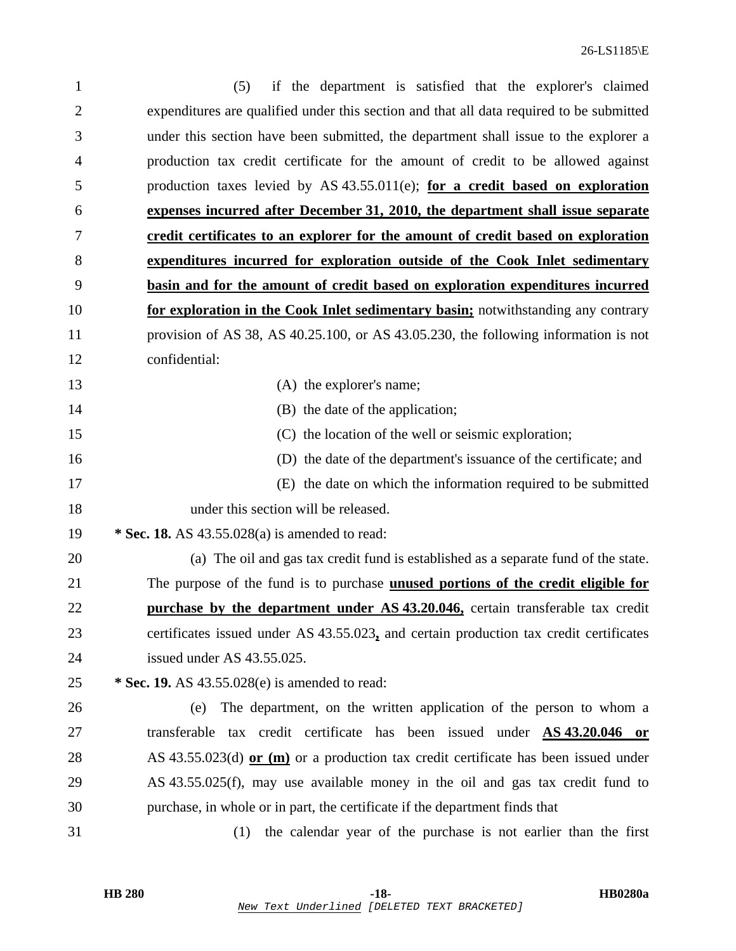| $\mathbf{1}$   | if the department is satisfied that the explorer's claimed<br>(5)                        |
|----------------|------------------------------------------------------------------------------------------|
| $\overline{2}$ | expenditures are qualified under this section and that all data required to be submitted |
| 3              | under this section have been submitted, the department shall issue to the explorer a     |
| 4              | production tax credit certificate for the amount of credit to be allowed against         |
| 5              | production taxes levied by AS $43.55.011(e)$ ; for a credit based on exploration         |
| 6              | expenses incurred after December 31, 2010, the department shall issue separate           |
| 7              | credit certificates to an explorer for the amount of credit based on exploration         |
| 8              | expenditures incurred for exploration outside of the Cook Inlet sedimentary              |
| 9              | basin and for the amount of credit based on exploration expenditures incurred            |
| 10             | for exploration in the Cook Inlet sedimentary basin; notwithstanding any contrary        |
| 11             | provision of AS 38, AS 40.25.100, or AS 43.05.230, the following information is not      |
| 12             | confidential:                                                                            |
| 13             | (A) the explorer's name;                                                                 |
| 14             | (B) the date of the application;                                                         |
| 15             | (C) the location of the well or seismic exploration;                                     |
| 16             | (D) the date of the department's issuance of the certificate; and                        |
| 17             | (E) the date on which the information required to be submitted                           |
| 18             | under this section will be released.                                                     |
| 19             | * Sec. 18. AS 43.55.028(a) is amended to read:                                           |
| 20             | (a) The oil and gas tax credit fund is established as a separate fund of the state.      |
| 21             | The purpose of the fund is to purchase <b>unused portions of the credit eligible for</b> |
| 22             | purchase by the department under AS 43.20.046, certain transferable tax credit           |
| 23             | certificates issued under AS 43.55.023, and certain production tax credit certificates   |
| 24             | issued under AS 43.55.025.                                                               |
| 25             | * Sec. 19. AS 43.55.028(e) is amended to read:                                           |
| 26             | The department, on the written application of the person to whom a<br>(e)                |
| 27             | transferable tax credit certificate has been issued under <b>AS 43.20.046</b> or         |
| 28             | AS 43.55.023(d) or $(m)$ or a production tax credit certificate has been issued under    |
| 29             | AS 43.55.025(f), may use available money in the oil and gas tax credit fund to           |
| 30             | purchase, in whole or in part, the certificate if the department finds that              |
| 31             | the calendar year of the purchase is not earlier than the first<br>(1)                   |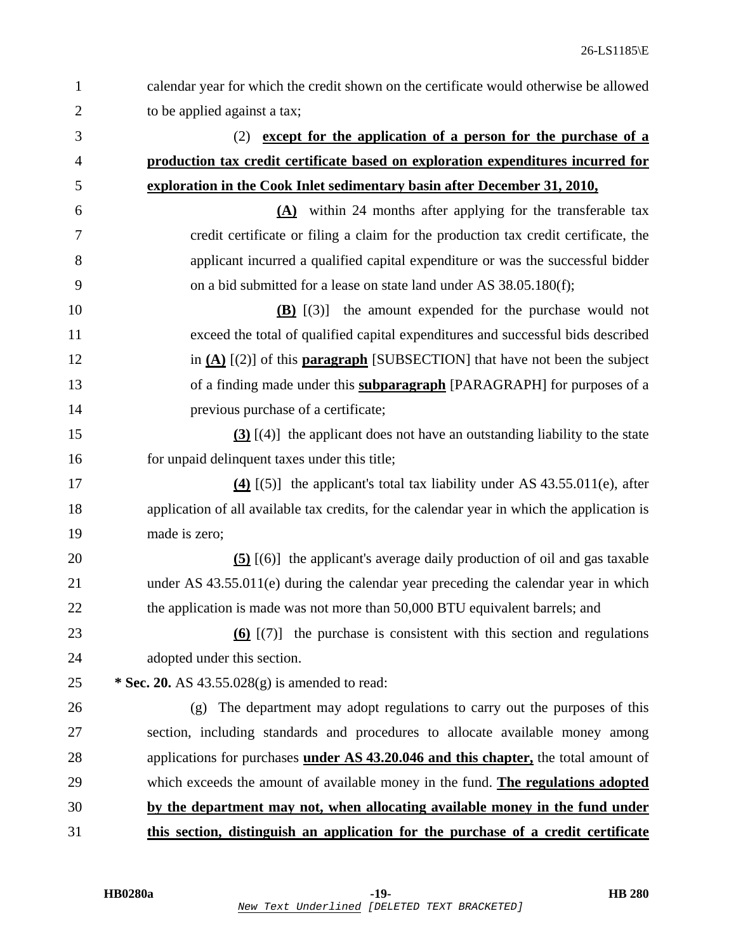| $\mathbf{1}$   | calendar year for which the credit shown on the certificate would otherwise be allowed      |
|----------------|---------------------------------------------------------------------------------------------|
| $\overline{2}$ | to be applied against a tax;                                                                |
| 3              | (2) except for the application of a person for the purchase of a                            |
| 4              | production tax credit certificate based on exploration expenditures incurred for            |
| 5              | exploration in the Cook Inlet sedimentary basin after December 31, 2010,                    |
| 6              | $(A)$ within 24 months after applying for the transferable tax                              |
| 7              | credit certificate or filing a claim for the production tax credit certificate, the         |
| 8              | applicant incurred a qualified capital expenditure or was the successful bidder             |
| 9              | on a bid submitted for a lease on state land under AS 38.05.180(f);                         |
| 10             | $(B)$ $(3)$ the amount expended for the purchase would not                                  |
| 11             | exceed the total of qualified capital expenditures and successful bids described            |
| 12             | in $(A)$ [(2)] of this <b>paragraph</b> [SUBSECTION] that have not been the subject         |
| 13             | of a finding made under this <b>subparagraph</b> [PARAGRAPH] for purposes of a              |
| 14             | previous purchase of a certificate;                                                         |
| 15             | $(3)$ [(4)] the applicant does not have an outstanding liability to the state               |
| 16             | for unpaid delinquent taxes under this title;                                               |
| 17             | $(4)$ [(5)] the applicant's total tax liability under AS 43.55.011(e), after                |
| 18             | application of all available tax credits, for the calendar year in which the application is |
| 19             | made is zero;                                                                               |
| 20             | $(5)$ [(6)] the applicant's average daily production of oil and gas taxable                 |
| 21             | under AS 43.55.011(e) during the calendar year preceding the calendar year in which         |
| 22             | the application is made was not more than 50,000 BTU equivalent barrels; and                |
| 23             | $(6)$ $(7)$ the purchase is consistent with this section and regulations                    |
| 24             | adopted under this section.                                                                 |
| 25             | * Sec. 20. AS $43.55.028(g)$ is amended to read:                                            |
| 26             | The department may adopt regulations to carry out the purposes of this<br>(g)               |
| 27             | section, including standards and procedures to allocate available money among               |
| 28             | applications for purchases under AS 43.20.046 and this chapter, the total amount of         |
| 29             | which exceeds the amount of available money in the fund. The regulations adopted            |
| 30             | by the department may not, when allocating available money in the fund under                |
| 31             | this section, distinguish an application for the purchase of a credit certificate           |